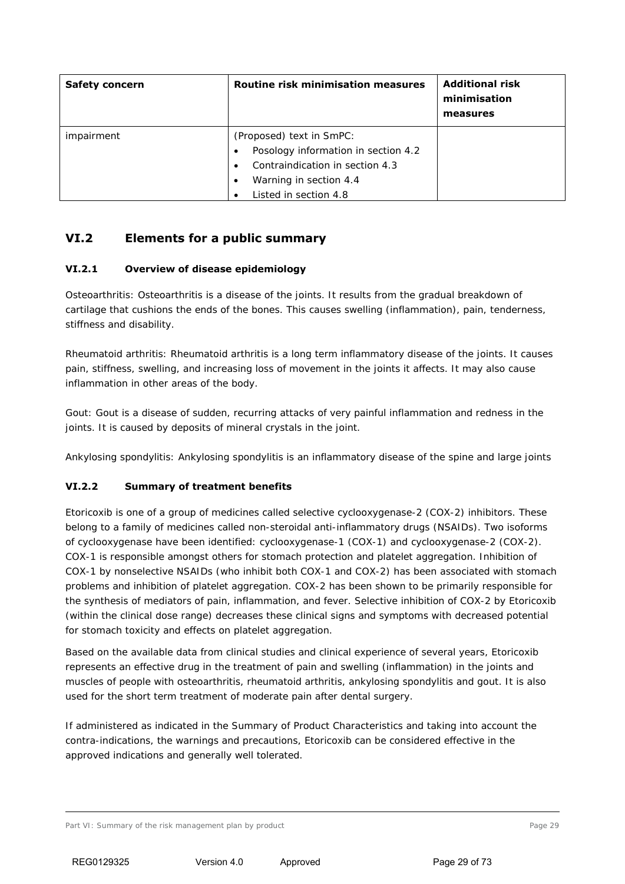# **VI.2 Elements for a public summary**

#### **VI.2.1 Overview of disease epidemiology**

Osteoarthritis: Osteoarthritis is a disease of the joints. It results from the gradual breakdown of cartilage that cushions the ends of the bones. This causes swelling (inflammation), pain, tenderness, stiffness and disability.

Rheumatoid arthritis: Rheumatoid arthritis is a long term inflammatory disease of the joints. It causes pain, stiffness, swelling, and increasing loss of movement in the joints it affects. It may also cause inflammation in other areas of the body.

Gout: Gout is a disease of sudden, recurring attacks of very painful inflammation and redness in the joints. It is caused by deposits of mineral crystals in the joint.

Ankylosing spondylitis: Ankylosing spondylitis is an inflammatory disease of the spine and large joints

#### **VI.2.2 Summary of treatment benefits**

Etoricoxib is one of a group of medicines called selective cyclooxygenase-2 (COX-2) inhibitors. These belong to a family of medicines called non-steroidal anti-inflammatory drugs (NSAIDs). Two isoforms of cyclooxygenase have been identified: cyclooxygenase-1 (COX-1) and cyclooxygenase-2 (COX-2). COX-1 is responsible amongst others for stomach protection and platelet aggregation. Inhibition of COX-1 by nonselective NSAIDs (who inhibit both COX-1 and COX-2) has been associated with stomach problems and inhibition of platelet aggregation. COX-2 has been shown to be primarily responsible for the synthesis of mediators of pain, inflammation, and fever. Selective inhibition of COX-2 by Etoricoxib (within the clinical dose range) decreases these clinical signs and symptoms with decreased potential for stomach toxicity and effects on platelet aggregation.

Based on the available data from clinical studies and clinical experience of several years, Etoricoxib represents an effective drug in the treatment of pain and swelling (inflammation) in the joints and muscles of people with osteoarthritis, rheumatoid arthritis, ankylosing spondylitis and gout. It is also used for the short term treatment of moderate pain after dental surgery.

If administered as indicated in the Summary of Product Characteristics and taking into account the contra-indications, the warnings and precautions, Etoricoxib can be considered effective in the approved indications and generally well tolerated.

#### Part VI: Summary of the risk management plan by product Page 29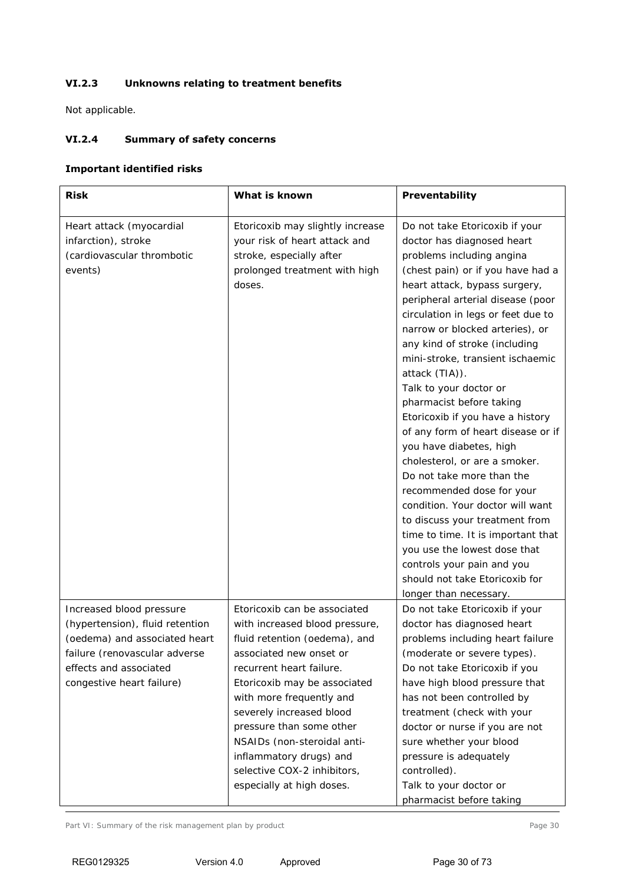## **VI.2.3 Unknowns relating to treatment benefits**

Not applicable.

## **VI.2.4 Summary of safety concerns**

### **Important identified risks**

| <b>Risk</b>                                                                                                                                                                          | What is known                                                                                                                                                                                                                                                                                                                                                                                    | Preventability                                                                                                                                                                                                                                                                                                                                                                                                                                                                                                                                                                                                                                                                                                                                                                                                                                                   |
|--------------------------------------------------------------------------------------------------------------------------------------------------------------------------------------|--------------------------------------------------------------------------------------------------------------------------------------------------------------------------------------------------------------------------------------------------------------------------------------------------------------------------------------------------------------------------------------------------|------------------------------------------------------------------------------------------------------------------------------------------------------------------------------------------------------------------------------------------------------------------------------------------------------------------------------------------------------------------------------------------------------------------------------------------------------------------------------------------------------------------------------------------------------------------------------------------------------------------------------------------------------------------------------------------------------------------------------------------------------------------------------------------------------------------------------------------------------------------|
| Heart attack (myocardial<br>infarction), stroke<br>(cardiovascular thrombotic<br>events)                                                                                             | Etoricoxib may slightly increase<br>your risk of heart attack and<br>stroke, especially after<br>prolonged treatment with high<br>doses.                                                                                                                                                                                                                                                         | Do not take Etoricoxib if your<br>doctor has diagnosed heart<br>problems including angina<br>(chest pain) or if you have had a<br>heart attack, bypass surgery,<br>peripheral arterial disease (poor<br>circulation in legs or feet due to<br>narrow or blocked arteries), or<br>any kind of stroke (including<br>mini-stroke, transient ischaemic<br>attack (TIA)).<br>Talk to your doctor or<br>pharmacist before taking<br>Etoricoxib if you have a history<br>of any form of heart disease or if<br>you have diabetes, high<br>cholesterol, or are a smoker.<br>Do not take more than the<br>recommended dose for your<br>condition. Your doctor will want<br>to discuss your treatment from<br>time to time. It is important that<br>you use the lowest dose that<br>controls your pain and you<br>should not take Etoricoxib for<br>longer than necessary. |
| Increased blood pressure<br>(hypertension), fluid retention<br>(oedema) and associated heart<br>failure (renovascular adverse<br>effects and associated<br>congestive heart failure) | Etoricoxib can be associated<br>with increased blood pressure,<br>fluid retention (oedema), and<br>associated new onset or<br>recurrent heart failure.<br>Etoricoxib may be associated<br>with more frequently and<br>severely increased blood<br>pressure than some other<br>NSAIDs (non-steroidal anti-<br>inflammatory drugs) and<br>selective COX-2 inhibitors,<br>especially at high doses. | Do not take Etoricoxib if your<br>doctor has diagnosed heart<br>problems including heart failure<br>(moderate or severe types).<br>Do not take Etoricoxib if you<br>have high blood pressure that<br>has not been controlled by<br>treatment (check with your<br>doctor or nurse if you are not<br>sure whether your blood<br>pressure is adequately<br>controlled).<br>Talk to your doctor or<br>pharmacist before taking                                                                                                                                                                                                                                                                                                                                                                                                                                       |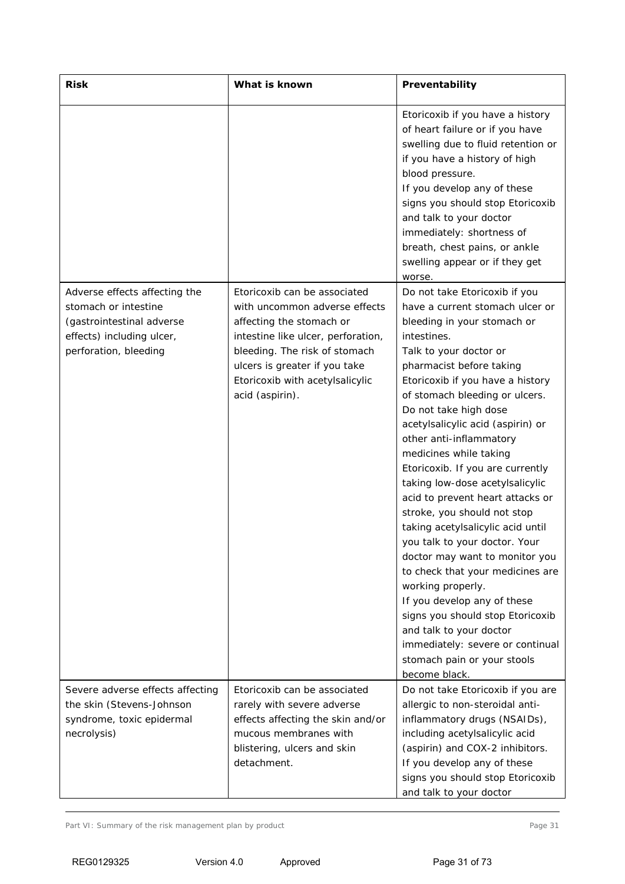| <b>Risk</b>                                                                                                                              | What is known                                                                                                                                                                                                                                           | <b>Preventability</b>                                                                                                                                                                                                                                                                                                                                                                                                                                                                                                                                                                                                                                                                                                                                                                                                                                      |
|------------------------------------------------------------------------------------------------------------------------------------------|---------------------------------------------------------------------------------------------------------------------------------------------------------------------------------------------------------------------------------------------------------|------------------------------------------------------------------------------------------------------------------------------------------------------------------------------------------------------------------------------------------------------------------------------------------------------------------------------------------------------------------------------------------------------------------------------------------------------------------------------------------------------------------------------------------------------------------------------------------------------------------------------------------------------------------------------------------------------------------------------------------------------------------------------------------------------------------------------------------------------------|
|                                                                                                                                          |                                                                                                                                                                                                                                                         | Etoricoxib if you have a history<br>of heart failure or if you have<br>swelling due to fluid retention or<br>if you have a history of high<br>blood pressure.<br>If you develop any of these<br>signs you should stop Etoricoxib<br>and talk to your doctor<br>immediately: shortness of<br>breath, chest pains, or ankle<br>swelling appear or if they get<br>worse.                                                                                                                                                                                                                                                                                                                                                                                                                                                                                      |
| Adverse effects affecting the<br>stomach or intestine<br>(gastrointestinal adverse<br>effects) including ulcer,<br>perforation, bleeding | Etoricoxib can be associated<br>with uncommon adverse effects<br>affecting the stomach or<br>intestine like ulcer, perforation,<br>bleeding. The risk of stomach<br>ulcers is greater if you take<br>Etoricoxib with acetylsalicylic<br>acid (aspirin). | Do not take Etoricoxib if you<br>have a current stomach ulcer or<br>bleeding in your stomach or<br>intestines.<br>Talk to your doctor or<br>pharmacist before taking<br>Etoricoxib if you have a history<br>of stomach bleeding or ulcers.<br>Do not take high dose<br>acetylsalicylic acid (aspirin) or<br>other anti-inflammatory<br>medicines while taking<br>Etoricoxib. If you are currently<br>taking low-dose acetylsalicylic<br>acid to prevent heart attacks or<br>stroke, you should not stop<br>taking acetylsalicylic acid until<br>you talk to your doctor. Your<br>doctor may want to monitor you<br>to check that your medicines are<br>working properly.<br>If you develop any of these<br>signs you should stop Etoricoxib<br>and talk to your doctor<br>immediately: severe or continual<br>stomach pain or your stools<br>become black. |
| Severe adverse effects affecting<br>the skin (Stevens-Johnson<br>syndrome, toxic epidermal<br>necrolysis)                                | Etoricoxib can be associated<br>rarely with severe adverse<br>effects affecting the skin and/or<br>mucous membranes with<br>blistering, ulcers and skin<br>detachment.                                                                                  | Do not take Etoricoxib if you are<br>allergic to non-steroidal anti-<br>inflammatory drugs (NSAIDs),<br>including acetylsalicylic acid<br>(aspirin) and COX-2 inhibitors.<br>If you develop any of these<br>signs you should stop Etoricoxib<br>and talk to your doctor                                                                                                                                                                                                                                                                                                                                                                                                                                                                                                                                                                                    |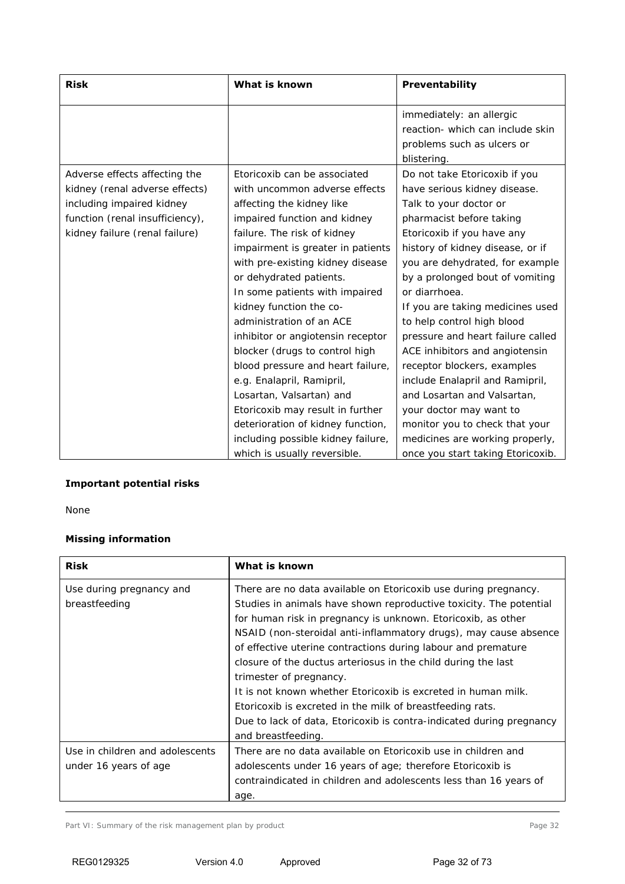|                                                                                                                                                                                                                                                                                   | immediately: an allergic<br>reaction- which can include skin<br>problems such as ulcers or<br>blistering.                                                                                                                                                                                                                                                                                                                                                                                                                                                                                                                                                                                                                                                                                                                                                                                                                                                                                                                                                                                                                                                                                                                 |
|-----------------------------------------------------------------------------------------------------------------------------------------------------------------------------------------------------------------------------------------------------------------------------------|---------------------------------------------------------------------------------------------------------------------------------------------------------------------------------------------------------------------------------------------------------------------------------------------------------------------------------------------------------------------------------------------------------------------------------------------------------------------------------------------------------------------------------------------------------------------------------------------------------------------------------------------------------------------------------------------------------------------------------------------------------------------------------------------------------------------------------------------------------------------------------------------------------------------------------------------------------------------------------------------------------------------------------------------------------------------------------------------------------------------------------------------------------------------------------------------------------------------------|
| Adverse effects affecting the<br>kidney (renal adverse effects)<br>including impaired kidney<br>affecting the kidney like<br>function (renal insufficiency),<br>kidney failure (renal failure)<br>or dehydrated patients.<br>kidney function the co-<br>e.g. Enalapril, Ramipril, | Etoricoxib can be associated<br>Do not take Etoricoxib if you<br>have serious kidney disease.<br>with uncommon adverse effects<br>Talk to your doctor or<br>impaired function and kidney<br>pharmacist before taking<br>failure. The risk of kidney<br>Etoricoxib if you have any<br>history of kidney disease, or if<br>impairment is greater in patients<br>with pre-existing kidney disease<br>you are dehydrated, for example<br>by a prolonged bout of vomiting<br>In some patients with impaired<br>or diarrhoea.<br>If you are taking medicines used<br>administration of an ACE<br>to help control high blood<br>inhibitor or angiotensin receptor<br>pressure and heart failure called<br>blocker (drugs to control high<br>ACE inhibitors and angiotensin<br>blood pressure and heart failure,<br>receptor blockers, examples<br>include Enalapril and Ramipril,<br>Losartan, Valsartan) and<br>and Losartan and Valsartan,<br>Etoricoxib may result in further<br>your doctor may want to<br>deterioration of kidney function,<br>monitor you to check that your<br>including possible kidney failure,<br>medicines are working properly,<br>which is usually reversible.<br>once you start taking Etoricoxib. |

# **Important potential risks**

None

# **Missing information**

| <b>Risk</b>                     | What is known                                                        |  |
|---------------------------------|----------------------------------------------------------------------|--|
| Use during pregnancy and        | There are no data available on Etoricoxib use during pregnancy.      |  |
| breastfeeding                   | Studies in animals have shown reproductive toxicity. The potential   |  |
|                                 | for human risk in pregnancy is unknown. Etoricoxib, as other         |  |
|                                 | NSAID (non-steroidal anti-inflammatory drugs), may cause absence     |  |
|                                 | of effective uterine contractions during labour and premature        |  |
|                                 | closure of the ductus arteriosus in the child during the last        |  |
|                                 | trimester of pregnancy.                                              |  |
|                                 | It is not known whether Etoricoxib is excreted in human milk.        |  |
|                                 | Etoricoxib is excreted in the milk of breastfeeding rats.            |  |
|                                 | Due to lack of data, Etoricoxib is contra-indicated during pregnancy |  |
|                                 | and breastfeeding.                                                   |  |
| Use in children and adolescents | There are no data available on Etoricoxib use in children and        |  |
| under 16 years of age           | adolescents under 16 years of age; therefore Etoricoxib is           |  |
|                                 | contraindicated in children and adolescents less than 16 years of    |  |
|                                 | age.                                                                 |  |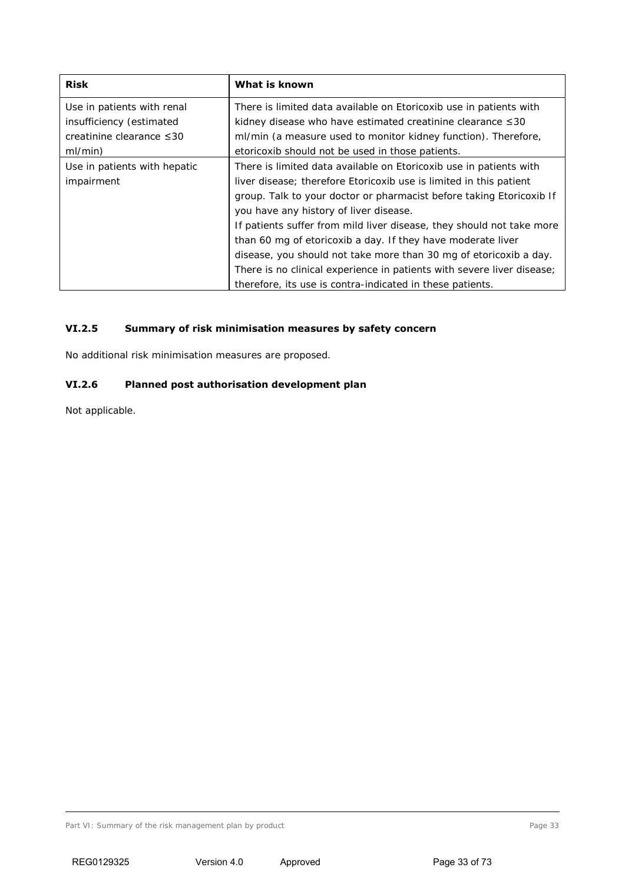| <b>Risk</b>                  | What is known                                                          |  |
|------------------------------|------------------------------------------------------------------------|--|
| Use in patients with renal   | There is limited data available on Etoricoxib use in patients with     |  |
| insufficiency (estimated     | kidney disease who have estimated creatinine clearance $\leq 30$       |  |
| creatinine clearance ≤30     | ml/min (a measure used to monitor kidney function). Therefore,         |  |
| ml/min)                      | etoricoxib should not be used in those patients.                       |  |
| Use in patients with hepatic | There is limited data available on Etoricoxib use in patients with     |  |
| impairment                   | liver disease; therefore Etoricoxib use is limited in this patient     |  |
|                              | group. Talk to your doctor or pharmacist before taking Etoricoxib If   |  |
|                              | you have any history of liver disease.                                 |  |
|                              | If patients suffer from mild liver disease, they should not take more  |  |
|                              | than 60 mg of etoricoxib a day. If they have moderate liver            |  |
|                              | disease, you should not take more than 30 mg of etoricoxib a day.      |  |
|                              | There is no clinical experience in patients with severe liver disease; |  |
|                              | therefore, its use is contra-indicated in these patients.              |  |

## **VI.2.5 Summary of risk minimisation measures by safety concern**

No additional risk minimisation measures are proposed.

#### **VI.2.6 Planned post authorisation development plan**

Not applicable.

Part VI: Summary of the risk management plan by product Page 33